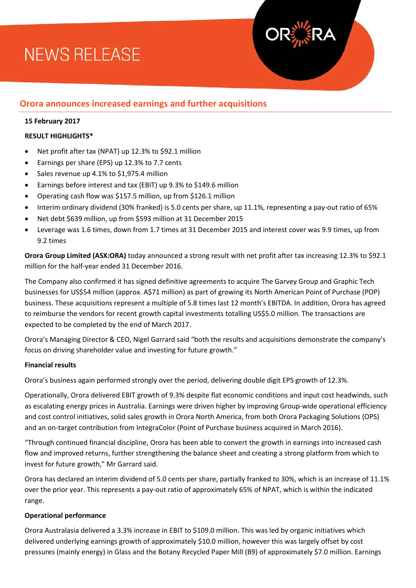# **NEWS RELEASE**

### **Orora announces increased earnings and further acquisitions**

#### **15 February 2017**

#### **RESULT HIGHLIGHTS\***

- Net profit after tax (NPAT) up 12.3% to \$92.1 million
- Earnings per share (EPS) up 12.3% to 7.7 cents
- Sales revenue up 4.1% to \$1,975.4 million
- Earnings before interest and tax (EBIT) up 9.3% to \$149.6 million
- Operating cash flow was \$157.5 million, up from \$126.1 million
- Interim ordinary dividend (30% franked) is 5.0 cents per share, up 11.1%, representing a pay-out ratio of 65%
- Net debt \$639 million, up from \$593 million at 31 December 2015
- Leverage was 1.6 times, down from 1.7 times at 31 December 2015 and interest cover was 9.9 times, up from 9.2 times

**Orora Group Limited (ASX:ORA)** today announced a strong result with net profit after tax increasing 12.3% to \$92.1 million for the half-year ended 31 December 2016.

The Company also confirmed it has signed definitive agreements to acquire The Garvey Group and Graphic Tech businesses for US\$54 million (approx. A\$71 million) as part of growing its North American Point of Purchase (POP) business. These acquisitions represent a multiple of 5.8 times last 12 month's EBITDA. In addition, Orora has agreed to reimburse the vendors for recent growth capital investments totalling US\$5.0 million. The transactions are expected to be completed by the end of March 2017.

Orora's Managing Director & CEO, Nigel Garrard said "both the results and acquisitions demonstrate the company's focus on driving shareholder value and investing for future growth."

#### **Financial results**

Orora's business again performed strongly over the period, delivering double digit EPS growth of 12.3%.

Operationally, Orora delivered EBIT growth of 9.3% despite flat economic conditions and input cost headwinds, such as escalating energy prices in Australia. Earnings were driven higher by improving Group-wide operational efficiency and cost control initiatives, solid sales growth in Orora North America, from both Orora Packaging Solutions (OPS) and an on-target contribution from IntegraColor (Point of Purchase business acquired in March 2016).

"Through continued financial discipline, Orora has been able to convert the growth in earnings into increased cash flow and improved returns, further strengthening the balance sheet and creating a strong platform from which to invest for future growth," Mr Garrard said.

Orora has declared an interim dividend of 5.0 cents per share, partially franked to 30%, which is an increase of 11.1% over the prior year. This represents a pay-out ratio of approximately 65% of NPAT, which is within the indicated range.

#### **Operational performance**

Orora Australasia delivered a 3.3% increase in EBIT to \$109.0 million. This was led by organic initiatives which delivered underlying earnings growth of approximately \$10.0 million, however this was largely offset by cost pressures (mainly energy) in Glass and the Botany Recycled Paper Mill (B9) of approximately \$7.0 million. Earnings